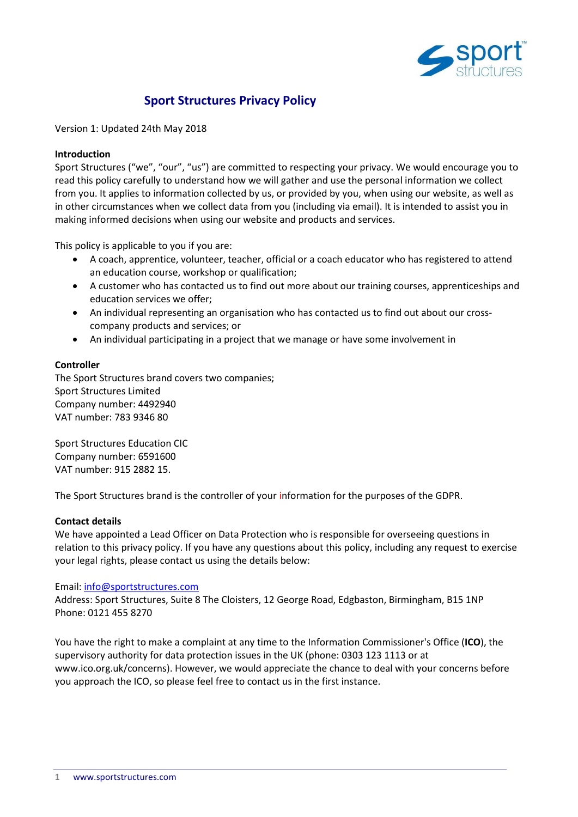

# **Sport Structures Privacy Policy**

Version 1: Updated 24th May 2018

# **Introduction**

Sport Structures ("we", "our", "us") are committed to respecting your privacy. We would encourage you to read this policy carefully to understand how we will gather and use the personal information we collect from you. It applies to information collected by us, or provided by you, when using our website, as well as in other circumstances when we collect data from you (including via email). It is intended to assist you in making informed decisions when using our website and products and services.

This policy is applicable to you if you are:

- A coach, apprentice, volunteer, teacher, official or a coach educator who has registered to attend an education course, workshop or qualification;
- A customer who has contacted us to find out more about our training courses, apprenticeships and education services we offer;
- An individual representing an organisation who has contacted us to find out about our crosscompany products and services; or
- An individual participating in a project that we manage or have some involvement in

# **Controller**

The Sport Structures brand covers two companies; Sport Structures Limited Company number: 4492940 VAT number: 783 9346 80

Sport Structures Education CIC Company number: 6591600 VAT number: 915 2882 15.

The Sport Structures brand is the controller of your information for the purposes of the GDPR.

# **Contact details**

We have appointed a Lead Officer on Data Protection who is responsible for overseeing questions in relation to this privacy policy. If you have any questions about this policy, including any request to exercise your legal rights, please contact us using the details below:

# Email[: info@sportstructures.com](mailto:info@sportstructures.com)

Address: Sport Structures, Suite 8 The Cloisters, 12 George Road, Edgbaston, Birmingham, B15 1NP Phone: 0121 455 8270

You have the right to make a complaint at any time to the Information Commissioner's Office (**ICO**), the supervisory authority for data protection issues in the UK (phone: 0303 123 1113 or at www.ico.org.uk/concerns). However, we would appreciate the chance to deal with your concerns before you approach the ICO, so please feel free to contact us in the first instance.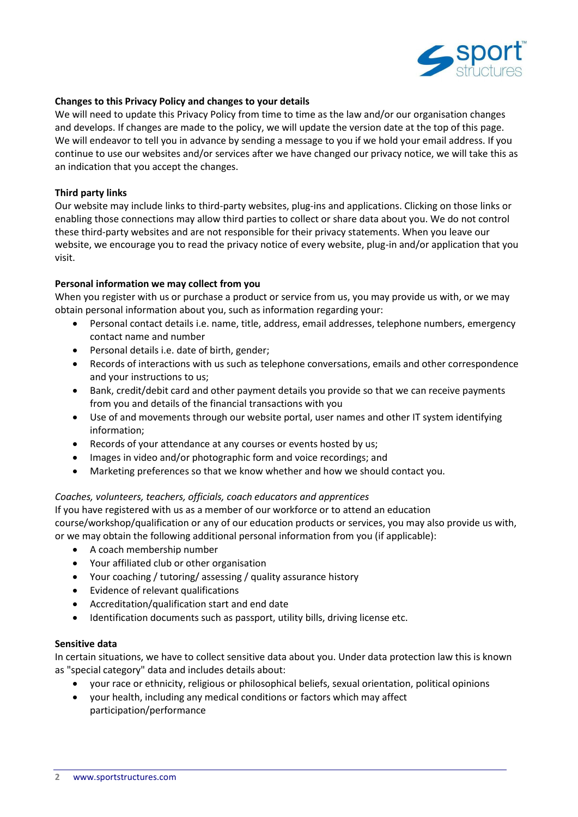

# **Changes to this Privacy Policy and changes to your details**

We will need to update this Privacy Policy from time to time as the law and/or our organisation changes and develops. If changes are made to the policy, we will update the version date at the top of this page. We will endeavor to tell you in advance by sending a message to you if we hold your email address. If you continue to use our websites and/or services after we have changed our privacy notice, we will take this as an indication that you accept the changes.

# **Third party links**

Our website may include links to third-party websites, plug-ins and applications. Clicking on those links or enabling those connections may allow third parties to collect or share data about you. We do not control these third-party websites and are not responsible for their privacy statements. When you leave our website, we encourage you to read the privacy notice of every website, plug-in and/or application that you visit.

# **Personal information we may collect from you**

When you register with us or purchase a product or service from us, you may provide us with, or we may obtain personal information about you, such as information regarding your:

- Personal contact details i.e. name, title, address, email addresses, telephone numbers, emergency contact name and number
- Personal details i.e. date of birth, gender;
- Records of interactions with us such as telephone conversations, emails and other correspondence and your instructions to us;
- Bank, credit/debit card and other payment details you provide so that we can receive payments from you and details of the financial transactions with you
- Use of and movements through our website portal, user names and other IT system identifying information;
- Records of your attendance at any courses or events hosted by us;
- Images in video and/or photographic form and voice recordings; and
- Marketing preferences so that we know whether and how we should contact you.

# *Coaches, volunteers, teachers, officials, coach educators and apprentices*

If you have registered with us as a member of our workforce or to attend an education course/workshop/qualification or any of our education products or services, you may also provide us with, or we may obtain the following additional personal information from you (if applicable):

- A coach membership number
- Your affiliated club or other organisation
- Your coaching / tutoring/ assessing / quality assurance history
- Evidence of relevant qualifications
- Accreditation/qualification start and end date
- Identification documents such as passport, utility bills, driving license etc.

# **Sensitive data**

In certain situations, we have to collect sensitive data about you. Under data protection law this is known as "special category" data and includes details about:

- your race or ethnicity, religious or philosophical beliefs, sexual orientation, political opinions
- your health, including any medical conditions or factors which may affect participation/performance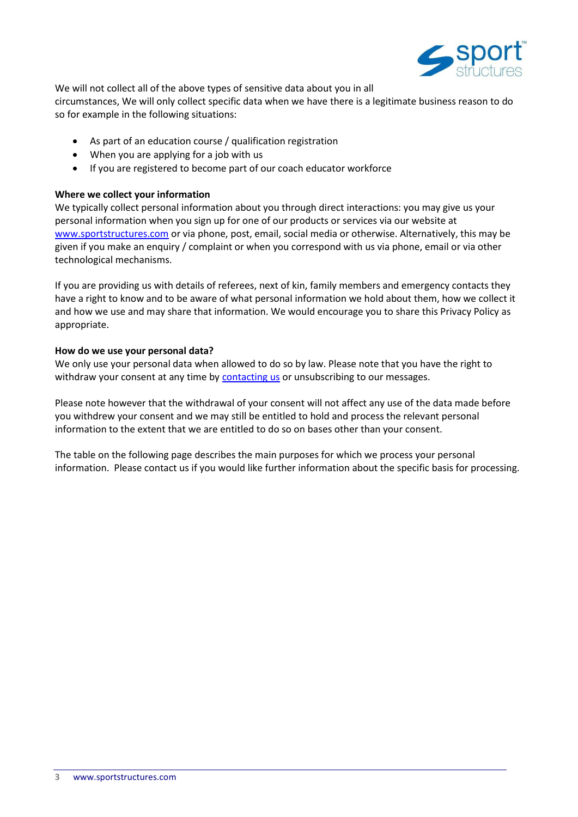

We will not collect all of the above types of sensitive data about you in all

circumstances, We will only collect specific data when we have there is a legitimate business reason to do so for example in the following situations:

- As part of an education course / qualification registration
- When you are applying for a job with us
- If you are registered to become part of our coach educator workforce

# **Where we collect your information**

We typically collect personal information about you through direct interactions: you may give us your personal information when you sign up for one of our products or services via our website at [www.sportstructures.com](http://www.sportstructures.com/) or via phone, post, email, social media or otherwise. Alternatively, this may be given if you make an enquiry / complaint or when you correspond with us via phone, email or via other technological mechanisms.

If you are providing us with details of referees, next of kin, family members and emergency contacts they have a right to know and to be aware of what personal information we hold about them, how we collect it and how we use and may share that information. We would encourage you to share this Privacy Policy as appropriate.

# **How do we use your personal data?**

We only use your personal data when allowed to do so by law. Please note that you have the right to withdraw your consent at any time by [contacting us](mailto:info@sportstructures.com) or unsubscribing to our messages.

Please note however that the withdrawal of your consent will not affect any use of the data made before you withdrew your consent and we may still be entitled to hold and process the relevant personal information to the extent that we are entitled to do so on bases other than your consent.

The table on the following page describes the main purposes for which we process your personal information. Please contact us if you would like further information about the specific basis for processing.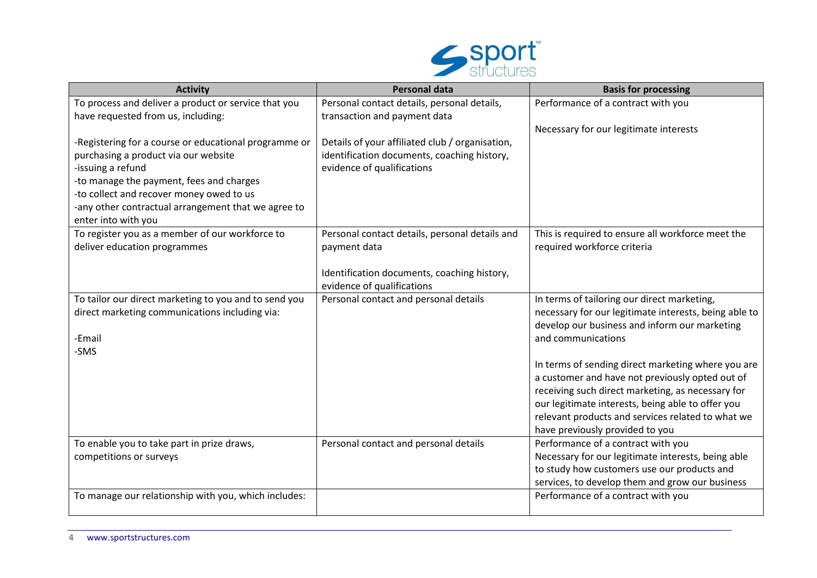

| <b>Activity</b>                                       | <b>Personal data</b>                                                      | <b>Basis for processing</b>                           |
|-------------------------------------------------------|---------------------------------------------------------------------------|-------------------------------------------------------|
| To process and deliver a product or service that you  | Personal contact details, personal details,                               | Performance of a contract with you                    |
| have requested from us, including:                    | transaction and payment data                                              |                                                       |
|                                                       |                                                                           | Necessary for our legitimate interests                |
| -Registering for a course or educational programme or | Details of your affiliated club / organisation,                           |                                                       |
| purchasing a product via our website                  | identification documents, coaching history,                               |                                                       |
| -issuing a refund                                     | evidence of qualifications                                                |                                                       |
| -to manage the payment, fees and charges              |                                                                           |                                                       |
| -to collect and recover money owed to us              |                                                                           |                                                       |
| -any other contractual arrangement that we agree to   |                                                                           |                                                       |
| enter into with you                                   |                                                                           |                                                       |
| To register you as a member of our workforce to       | Personal contact details, personal details and                            | This is required to ensure all workforce meet the     |
| deliver education programmes                          | payment data                                                              | required workforce criteria                           |
|                                                       |                                                                           |                                                       |
|                                                       | Identification documents, coaching history,<br>evidence of qualifications |                                                       |
| To tailor our direct marketing to you and to send you | Personal contact and personal details                                     | In terms of tailoring our direct marketing,           |
| direct marketing communications including via:        |                                                                           | necessary for our legitimate interests, being able to |
|                                                       |                                                                           | develop our business and inform our marketing         |
| -Email                                                |                                                                           | and communications                                    |
| -SMS                                                  |                                                                           |                                                       |
|                                                       |                                                                           | In terms of sending direct marketing where you are    |
|                                                       |                                                                           | a customer and have not previously opted out of       |
|                                                       |                                                                           | receiving such direct marketing, as necessary for     |
|                                                       |                                                                           | our legitimate interests, being able to offer you     |
|                                                       |                                                                           | relevant products and services related to what we     |
|                                                       |                                                                           | have previously provided to you                       |
| To enable you to take part in prize draws,            | Personal contact and personal details                                     | Performance of a contract with you                    |
| competitions or surveys                               |                                                                           | Necessary for our legitimate interests, being able    |
|                                                       |                                                                           | to study how customers use our products and           |
|                                                       |                                                                           | services, to develop them and grow our business       |
| To manage our relationship with you, which includes:  |                                                                           | Performance of a contract with you                    |
|                                                       |                                                                           |                                                       |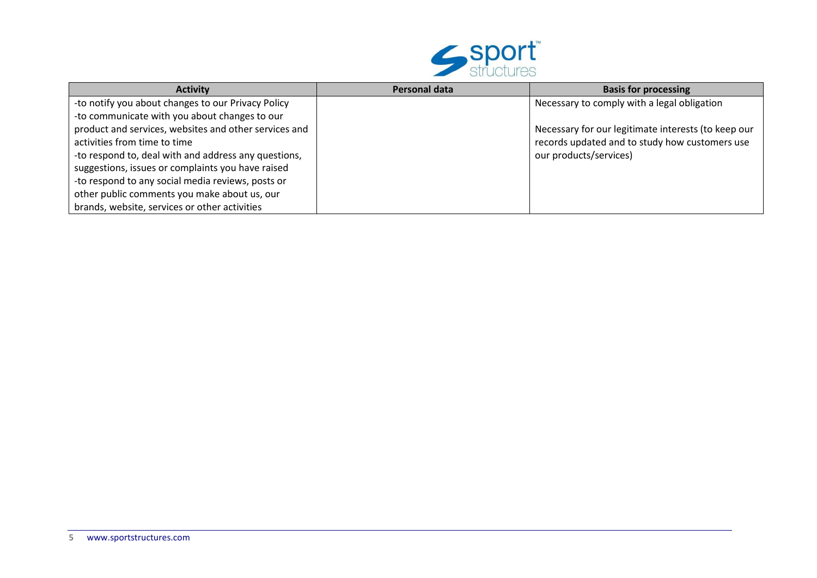

| <b>Activity</b>                                       | Personal data | <b>Basis for processing</b>                         |
|-------------------------------------------------------|---------------|-----------------------------------------------------|
| -to notify you about changes to our Privacy Policy    |               | Necessary to comply with a legal obligation         |
| -to communicate with you about changes to our         |               |                                                     |
| product and services, websites and other services and |               | Necessary for our legitimate interests (to keep our |
| activities from time to time                          |               | records updated and to study how customers use      |
| -to respond to, deal with and address any questions,  |               | our products/services)                              |
| suggestions, issues or complaints you have raised     |               |                                                     |
| -to respond to any social media reviews, posts or     |               |                                                     |
| other public comments you make about us, our          |               |                                                     |
| brands, website, services or other activities         |               |                                                     |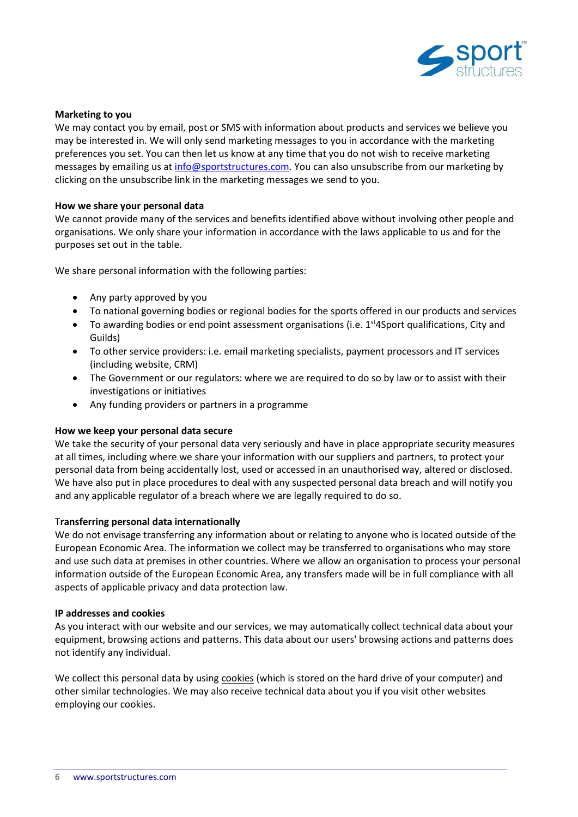

#### **Marketing to you**

We may contact you by email, post or SMS with information about products and services we believe you may be interested in. We will only send marketing messages to you in accordance with the marketing preferences you set. You can then let us know at any time that you do not wish to receive marketing messages by emailing us at [info@sportstructures.com.](mailto:info@sportstructures.com) You can also unsubscribe from our marketing by clicking on the unsubscribe link in the marketing messages we send to you.

#### **How we share your personal data**

We cannot provide many of the services and benefits identified above without involving other people and organisations. We only share your information in accordance with the laws applicable to us and for the purposes set out in the table.

We share personal information with the following parties:

- Any party approved by you
- To national governing bodies or regional bodies for the sports offered in our products and services
- To awarding bodies or end point assessment organisations (i.e.  $1<sup>st</sup>4S$ port qualifications, City and Guilds)
- To other service providers: i.e. email marketing specialists, payment processors and IT services (including website, CRM)
- The Government or our regulators: where we are required to do so by law or to assist with their investigations or initiatives
- Any funding providers or partners in a programme

#### **How we keep your personal data secure**

We take the security of your personal data very seriously and have in place appropriate security measures at all times, including where we share your information with our suppliers and partners, to protect your personal data from being accidentally lost, used or accessed in an unauthorised way, altered or disclosed. We have also put in place procedures to deal with any suspected personal data breach and will notify you and any applicable regulator of a breach where we are legally required to do so.

#### T**ransferring personal data internationally**

We do not envisage transferring any information about or relating to anyone who is located outside of the European Economic Area. The information we collect may be transferred to organisations who may store and use such data at premises in other countries. Where we allow an organisation to process your personal information outside of the European Economic Area, any transfers made will be in full compliance with all aspects of applicable privacy and data protection law.

#### **IP addresses and cookies**

As you interact with our website and our services, we may automatically collect technical data about your equipment, browsing actions and patterns. This data about our users' browsing actions and patterns does not identify any individual.

We collect this personal data by using [cookies](https://ico.org.uk/for-organisations/guide-to-pecr/cookies-and-similar-technologies/) (which is stored on the hard drive of your computer) and other similar technologies. We may also receive technical data about you if you visit other websites employing our cookies.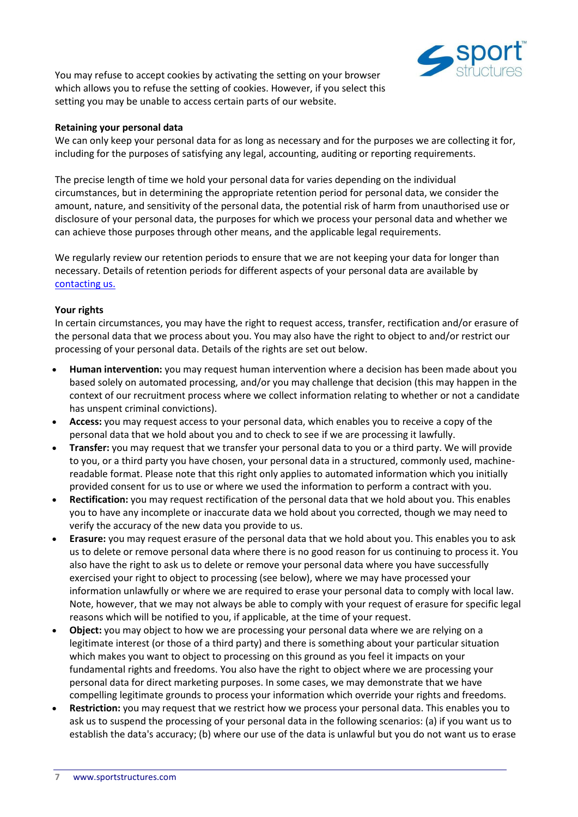

You may refuse to accept cookies by activating the setting on your browser which allows you to refuse the setting of cookies. However, if you select this setting you may be unable to access certain parts of our website.

# **Retaining your personal data**

We can only keep your personal data for as long as necessary and for the purposes we are collecting it for, including for the purposes of satisfying any legal, accounting, auditing or reporting requirements.

The precise length of time we hold your personal data for varies depending on the individual circumstances, but in determining the appropriate retention period for personal data, we consider the amount, nature, and sensitivity of the personal data, the potential risk of harm from unauthorised use or disclosure of your personal data, the purposes for which we process your personal data and whether we can achieve those purposes through other means, and the applicable legal requirements.

We regularly review our retention periods to ensure that we are not keeping your data for longer than necessary. Details of retention periods for different aspects of your personal data are available by [contacting us.](mailto:info@sportstructures.com)

# **Your rights**

In certain circumstances, you may have the right to request access, transfer, rectification and/or erasure of the personal data that we process about you. You may also have the right to object to and/or restrict our processing of your personal data. Details of the rights are set out below.

- **Human intervention:** you may request human intervention where a decision has been made about you based solely on automated processing, and/or you may challenge that decision (this may happen in the context of our recruitment process where we collect information relating to whether or not a candidate has unspent criminal convictions).
- **Access:** you may request access to your personal data, which enables you to receive a copy of the personal data that we hold about you and to check to see if we are processing it lawfully.
- **Transfer:** you may request that we transfer your personal data to you or a third party. We will provide to you, or a third party you have chosen, your personal data in a structured, commonly used, machinereadable format. Please note that this right only applies to automated information which you initially provided consent for us to use or where we used the information to perform a contract with you.
- **Rectification:** you may request rectification of the personal data that we hold about you. This enables you to have any incomplete or inaccurate data we hold about you corrected, though we may need to verify the accuracy of the new data you provide to us.
- **Erasure:** you may request erasure of the personal data that we hold about you. This enables you to ask us to delete or remove personal data where there is no good reason for us continuing to process it. You also have the right to ask us to delete or remove your personal data where you have successfully exercised your right to object to processing (see below), where we may have processed your information unlawfully or where we are required to erase your personal data to comply with local law. Note, however, that we may not always be able to comply with your request of erasure for specific legal reasons which will be notified to you, if applicable, at the time of your request.
- **Object:** you may object to how we are processing your personal data where we are relying on a legitimate interest (or those of a third party) and there is something about your particular situation which makes you want to object to processing on this ground as you feel it impacts on your fundamental rights and freedoms. You also have the right to object where we are processing your personal data for direct marketing purposes. In some cases, we may demonstrate that we have compelling legitimate grounds to process your information which override your rights and freedoms.
- **Restriction:** you may request that we restrict how we process your personal data. This enables you to ask us to suspend the processing of your personal data in the following scenarios: (a) if you want us to establish the data's accuracy; (b) where our use of the data is unlawful but you do not want us to erase